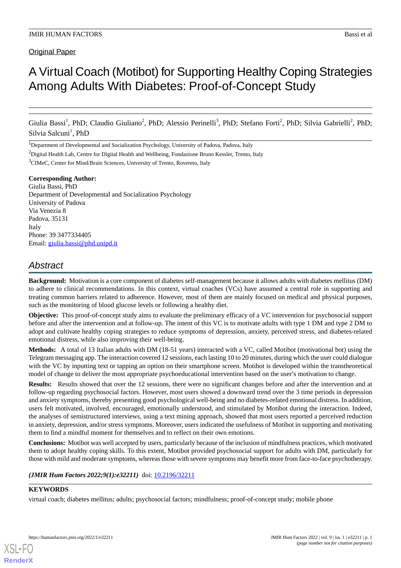# A Virtual Coach (Motibot) for Supporting Healthy Coping Strategies Among Adults With Diabetes: Proof-of-Concept Study

Giulia Bassi<sup>1</sup>, PhD; Claudio Giuliano<sup>2</sup>, PhD; Alessio Perinelli<sup>3</sup>, PhD; Stefano Forti<sup>2</sup>, PhD; Silvia Gabrielli<sup>2</sup>, PhD; Silvia Salcuni<sup>1</sup>, PhD

<sup>1</sup>Department of Developmental and Socialization Psychology, University of Padova, Padova, Italy

<sup>2</sup>Digital Health Lab, Centre for Digital Health and Wellbeing, Fondazione Bruno Kessler, Trento, Italy <sup>3</sup>CIMeC, Center for Mind/Brain Sciences, University of Trento, Rovereto, Italy

**Corresponding Author:**

Giulia Bassi, PhD Department of Developmental and Socialization Psychology University of Padova Via Venezia 8 Padova, 35131 Italy Phone: 39 3477334405 Email: [giulia.bassi@phd.unipd.it](mailto:giulia.bassi@phd.unipd.it)

## *Abstract*

**Background:** Motivation is a core component of diabetes self-management because it allows adults with diabetes mellitus (DM) to adhere to clinical recommendations. In this context, virtual coaches (VCs) have assumed a central role in supporting and treating common barriers related to adherence. However, most of them are mainly focused on medical and physical purposes, such as the monitoring of blood glucose levels or following a healthy diet.

**Objective:** This proof-of-concept study aims to evaluate the preliminary efficacy of a VC intervention for psychosocial support before and after the intervention and at follow-up. The intent of this VC is to motivate adults with type 1 DM and type 2 DM to adopt and cultivate healthy coping strategies to reduce symptoms of depression, anxiety, perceived stress, and diabetes-related emotional distress, while also improving their well-being.

**Methods:** A total of 13 Italian adults with DM (18-51 years) interacted with a VC, called Motibot (motivational bot) using the Telegram messaging app. The interaction covered 12 sessions, each lasting 10 to 20 minutes, during which the user could dialogue with the VC by inputting text or tapping an option on their smartphone screen. Motibot is developed within the transtheoretical model of change to deliver the most appropriate psychoeducational intervention based on the user's motivation to change.

**Results:** Results showed that over the 12 sessions, there were no significant changes before and after the intervention and at follow-up regarding psychosocial factors. However, most users showed a downward trend over the 3 time periods in depression and anxiety symptoms, thereby presenting good psychological well-being and no diabetes-related emotional distress. In addition, users felt motivated, involved, encouraged, emotionally understood, and stimulated by Motibot during the interaction. Indeed, the analyses of semistructured interviews, using a text mining approach, showed that most users reported a perceived reduction in anxiety, depression, and/or stress symptoms. Moreover, users indicated the usefulness of Motibot in supporting and motivating them to find a mindful moment for themselves and to reflect on their own emotions.

**Conclusions:** Motibot was well accepted by users, particularly because of the inclusion of mindfulness practices, which motivated them to adopt healthy coping skills. To this extent, Motibot provided psychosocial support for adults with DM, particularly for those with mild and moderate symptoms, whereas those with severe symptoms may benefit more from face-to-face psychotherapy.

## (JMIR Hum Factors 2022;9(1):e32211) doi: [10.2196/32211](http://dx.doi.org/10.2196/32211)

## **KEYWORDS**

[XSL](http://www.w3.org/Style/XSL)•FO **[RenderX](http://www.renderx.com/)**

virtual coach; diabetes mellitus; adults; psychosocial factors; mindfulness; proof-of-concept study; mobile phone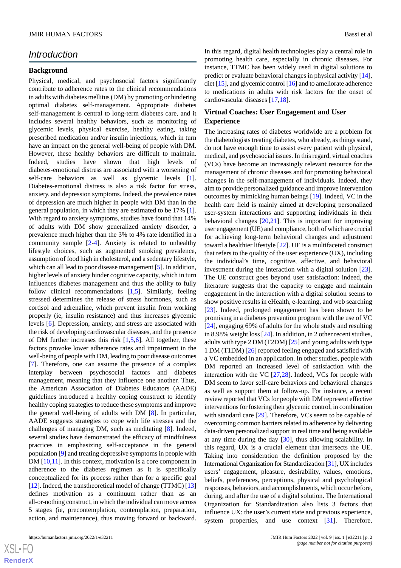## *Introduction*

#### **Background**

Physical, medical, and psychosocial factors significantly contribute to adherence rates to the clinical recommendations in adults with diabetes mellitus (DM) by promoting or hindering optimal diabetes self-management. Appropriate diabetes self-management is central to long-term diabetes care, and it includes several healthy behaviors, such as monitoring of glycemic levels, physical exercise, healthy eating, taking prescribed medication and/or insulin injections, which in turn have an impact on the general well-being of people with DM. However, these healthy behaviors are difficult to maintain. Indeed, studies have shown that high levels of diabetes-emotional distress are associated with a worsening of self-care behaviors as well as glycemic levels [[1\]](#page-14-0). Diabetes-emotional distress is also a risk factor for stress, anxiety, and depression symptoms. Indeed, the prevalence rates of depression are much higher in people with DM than in the general population, in which they are estimated to be 17% [[1\]](#page-14-0). With regard to anxiety symptoms, studies have found that 14% of adults with DM show generalized anxiety disorder, a prevalence much higher than the 3% to 4% rate identified in a community sample [\[2](#page-14-1)[-4](#page-15-0)]. Anxiety is related to unhealthy lifestyle choices, such as augmented smoking prevalence, assumption of food high in cholesterol, and a sedentary lifestyle, which can all lead to poor disease management [\[5](#page-15-1)]. In addition, higher levels of anxiety hinder cognitive capacity, which in turn influences diabetes management and thus the ability to fully follow clinical recommendations [[1](#page-14-0)[,5](#page-15-1)]. Similarly, feeling stressed determines the release of stress hormones, such as cortisol and adrenaline, which prevent insulin from working properly (ie, insulin resistance) and thus increases glycemic levels [[6\]](#page-15-2). Depression, anxiety, and stress are associated with the risk of developing cardiovascular diseases, and the presence of DM further increases this risk  $[1,5,6]$  $[1,5,6]$  $[1,5,6]$  $[1,5,6]$  $[1,5,6]$ . All together, these factors provoke lower adherence rates and impairment in the well-being of people with DM, leading to poor disease outcomes [[7\]](#page-15-3). Therefore, one can assume the presence of a complex interplay between psychosocial factors and diabetes management, meaning that they influence one another. Thus, the American Association of Diabetes Educators (AADE) guidelines introduced a healthy coping construct to identify healthy coping strategies to reduce these symptoms and improve the general well-being of adults with DM [\[8](#page-15-4)]. In particular, AADE suggests strategies to cope with life stresses and the challenges of managing DM, such as meditating [[8\]](#page-15-4). Indeed, several studies have demonstrated the efficacy of mindfulness practices in emphasizing self-acceptance in the general population [\[9](#page-15-5)] and treating depressive symptoms in people with DM [\[10](#page-15-6),[11\]](#page-15-7). In this context, motivation is a core component in adherence to the diabetes regimen as it is specifically conceptualized for its process rather than for a specific goal [[12\]](#page-15-8). Indeed, the transtheoretical model of change (TTMC) [\[13](#page-15-9)] defines motivation as a continuum rather than as an all-or-nothing construct, in which the individual can move across 5 stages (ie, precontemplation, contemplation, preparation, action, and maintenance), thus moving forward or backward.

In this regard, digital health technologies play a central role in promoting health care, especially in chronic diseases. For instance, TTMC has been widely used in digital solutions to predict or evaluate behavioral changes in physical activity [[14\]](#page-15-10), diet [[15\]](#page-15-11), and glycemic control [\[16](#page-15-12)] and to ameliorate adherence to medications in adults with risk factors for the onset of cardiovascular diseases [[17,](#page-15-13)[18](#page-15-14)].

#### **Virtual Coaches: User Engagement and User Experience**

The increasing rates of diabetes worldwide are a problem for the diabetologists treating diabetes, who already, as things stand, do not have enough time to assist every patient with physical, medical, and psychosocial issues. In this regard, virtual coaches (VCs) have become an increasingly relevant resource for the management of chronic diseases and for promoting behavioral changes in the self-management of individuals. Indeed, they aim to provide personalized guidance and improve intervention outcomes by mimicking human beings [[19\]](#page-15-15). Indeed, VC in the health care field is mainly aimed at developing personalized user-system interactions and supporting individuals in their behavioral changes  $[20,21]$  $[20,21]$  $[20,21]$  $[20,21]$ . This is important for improving user engagement (UE) and compliance, both of which are crucial for achieving long-term behavioral changes and adjustment toward a healthier lifestyle [[22\]](#page-15-18). UE is a multifaceted construct that refers to the quality of the user experience (UX), including the individual's time, cognitive, affective, and behavioral investment during the interaction with a digital solution [[23\]](#page-15-19). The UE construct goes beyond user satisfaction: indeed, the literature suggests that the capacity to engage and maintain engagement in the interaction with a digital solution seems to show positive results in eHealth, e-learning, and web searching [[23\]](#page-15-19). Indeed, prolonged engagement has been shown to be promising in a diabetes prevention program with the use of VC [[24\]](#page-15-20), engaging 69% of adults for the whole study and resulting in 8.98% weight loss [\[24](#page-15-20)]. In addition, in 2 other recent studies, adults with type 2 DM (T2DM) [[25\]](#page-16-0) and young adults with type 1 DM (T1DM) [[26\]](#page-16-1) reported feeling engaged and satisfied with a VC embedded in an application. In other studies, people with DM reported an increased level of satisfaction with the interaction with the VC [[27,](#page-16-2)[28](#page-16-3)]. Indeed, VCs for people with DM seem to favor self-care behaviors and behavioral changes as well as support them at follow-up. For instance, a recent review reported that VCs for people with DM represent effective interventions for fostering their glycemic control, in combination with standard care [[29\]](#page-16-4). Therefore, VCs seem to be capable of overcoming common barriers related to adherence by delivering data-driven personalized support in real time and being available at any time during the day [\[30](#page-16-5)], thus allowing scalability. In this regard, UX is a crucial element that intersects the UE. Taking into consideration the definition proposed by the International Organization for Standardization [\[31\]](#page-16-6), UX includes users' engagement, pleasure, desirability, values, emotions, beliefs, preferences, perceptions, physical and psychological responses, behaviors, and accomplishments, which occur before, during, and after the use of a digital solution. The International Organization for Standardization also lists 3 factors that influence UX: the user's current state and previous experience, system properties, and use context [[31\]](#page-16-6). Therefore,

```
XS\cdotFC
RenderX
```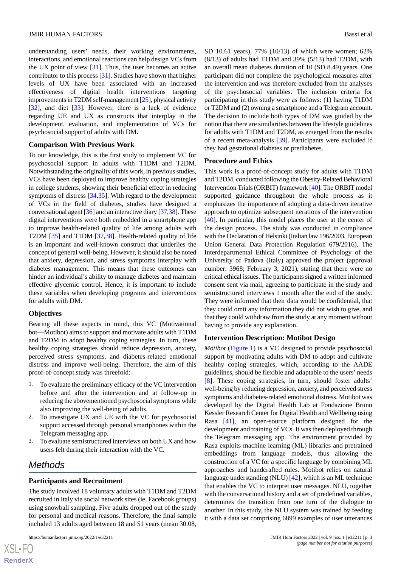understanding users' needs, their working environments, interactions, and emotional reactions can help design VCs from the UX point of view  $[31]$  $[31]$ . Thus, the user becomes an active contributor to this process [[31\]](#page-16-6). Studies have shown that higher levels of UX have been associated with an increased effectiveness of digital health interventions targeting improvements in T2DM self-management [[25\]](#page-16-0), physical activity [[32\]](#page-16-7), and diet [\[33](#page-16-8)]. However, there is a lack of evidence regarding UE and UX as constructs that interplay in the development, evaluation, and implementation of VCs for psychosocial support of adults with DM.

#### **Comparison With Previous Work**

To our knowledge, this is the first study to implement VC for psychosocial support in adults with T1DM and T2DM. Notwithstanding the originality of this work, in previous studies, VCs have been deployed to improve healthy coping strategies in college students, showing their beneficial effect in reducing symptoms of distress [[34,](#page-16-9)[35\]](#page-16-10). With regard to the development of VCs in the field of diabetes, studies have designed a conversational agent [[36\]](#page-16-11) and an interactive diary [\[37](#page-16-12),[38](#page-16-13)]. These digital interventions were both embedded in a smartphone app to improve health-related quality of life among adults with T2DM [\[35](#page-16-10)] and T1DM [\[37](#page-16-12)[,38](#page-16-13)]. Health-related quality of life is an important and well-known construct that underlies the concept of general well-being. However, it should also be noted that anxiety, depression, and stress symptoms interplay with diabetes management. This means that these outcomes can hinder an individual's ability to manage diabetes and maintain effective glycemic control. Hence, it is important to include these variables when developing programs and interventions for adults with DM.

#### **Objectives**

Bearing all these aspects in mind, this VC (Motivational bot—Motibot) aims to support and motivate adults with T1DM and T2DM to adopt healthy coping strategies. In turn, these healthy coping strategies should reduce depression, anxiety, perceived stress symptoms, and diabetes-related emotional distress and improve well-being. Therefore, the aim of this proof-of-concept study was threefold:

- 1. To evaluate the preliminary efficacy of the VC intervention before and after the intervention and at follow-up in reducing the abovementioned psychosocial symptoms while also improving the well-being of adults.
- 2. To investigate UX and UE with the VC for psychosocial support accessed through personal smartphones within the Telegram messaging app.
- 3. To evaluate semistructured interviews on both UX and how users felt during their interaction with the VC.

## *Methods*

#### **Participants and Recruitment**

The study involved 18 voluntary adults with T1DM and T2DM recruited in Italy via social network sites (ie, Facebook groups) using snowball sampling. Five adults dropped out of the study for personal and medical reasons. Therefore, the final sample included 13 adults aged between 18 and 51 years (mean 30.08,

SD 10.61 years), 77% (10/13) of which were women; 62% (8/13) of adults had T1DM and 39% (5/13) had T2DM, with an overall mean diabetes duration of 10 (SD 8.49) years. One participant did not complete the psychological measures after the intervention and was therefore excluded from the analyses of the psychosocial variables. The inclusion criteria for participating in this study were as follows: (1) having T1DM or T2DM and (2) owning a smartphone and a Telegram account. The decision to include both types of DM was guided by the notion that there are similarities between the lifestyle guidelines for adults with T1DM and T2DM, as emerged from the results of a recent meta-analysis [[39\]](#page-16-14). Participants were excluded if they had gestational diabetes or prediabetes.

#### **Procedure and Ethics**

This work is a proof-of-concept study for adults with T1DM and T2DM, conducted following the Obesity-Related Behavioral Intervention Trials (ORBIT) framework [\[40](#page-16-15)]. The ORBIT model supported guidance throughout the whole process as it emphasizes the importance of adopting a data-driven iterative approach to optimize subsequent iterations of the intervention [[40\]](#page-16-15). In particular, this model places the user at the center of the design process. The study was conducted in compliance with the Declaration of Helsinki (Italian law 196/2003, European Union General Data Protection Regulation 679/2016). The Interdepartmental Ethical Committee of Psychology of the University of Padova (Italy) approved the project (approval number: 3968; February 3, 2021), stating that there were no critical ethical issues. The participants signed a written informed consent sent via mail, agreeing to participate in the study and semistructured interviews 1 month after the end of the study. They were informed that their data would be confidential, that they could omit any information they did not wish to give, and that they could withdraw from the study at any moment without having to provide any explanation.

#### **Intervention Description: Motibot Design**

*Motibot* ([Figure 1](#page-3-0)) is a VC designed to provide psychosocial support by motivating adults with DM to adopt and cultivate healthy coping strategies, which, according to the AADE guidelines, should be flexible and adaptable to the users' needs [[8\]](#page-15-4). These coping strategies, in turn, should foster adults' well-being by reducing depression, anxiety, and perceived stress symptoms and diabetes-related emotional distress. Motibot was developed by the Digital Health Lab at Fondazione Bruno Kessler Research Center for Digital Health and Wellbeing using Rasa [[41\]](#page-16-16), an open-source platform designed for the development and training of VCs. It was then deployed through the Telegram messaging app. The environment provided by Rasa exploits machine learning (ML) libraries and pretrained embeddings from language models, thus allowing the construction of a VC for a specific language by combining ML approaches and handcrafted rules. Motibot relies on natural language understanding (NLU) [[42\]](#page-16-17), which is an ML technique that enables the VC to interpret user messages. NLU, together with the conversational history and a set of predefined variables, determines the transition from one turn of the dialogue to another. In this study, the NLU system was trained by feeding it with a data set comprising 6899 examples of user utterances

 $XSJ \cdot F$ **[RenderX](http://www.renderx.com/)**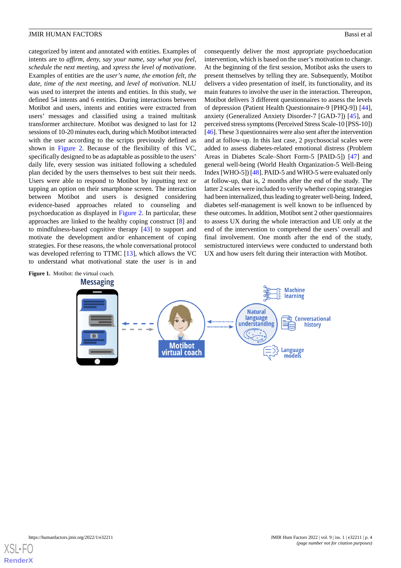categorized by intent and annotated with entities. Examples of intents are to *affirm, deny, say your name, say what you feel, schedule the next meeting*, and *xpress the level of motivation*e. Examples of entities are the *user's name, the emotion felt, the date, time of the next meeting*, and *level of motivation*. NLU was used to interpret the intents and entities. In this study, we defined 54 intents and 6 entities. During interactions between Motibot and users, intents and entities were extracted from users' messages and classified using a trained multitask transformer architecture. Motibot was designed to last for 12 sessions of 10-20 minutes each, during which Motibot interacted with the user according to the scripts previously defined as shown in [Figure 2](#page-4-0). Because of the flexibility of this VC, specifically designed to be as adaptable as possible to the users' daily life, every session was initiated following a scheduled plan decided by the users themselves to best suit their needs. Users were able to respond to Motibot by inputting text or tapping an option on their smartphone screen. The interaction between Motibot and users is designed considering evidence-based approaches related to counseling and psychoeducation as displayed in [Figure 2.](#page-4-0) In particular, these approaches are linked to the healthy coping construct [[8\]](#page-15-4) and to mindfulness-based cognitive therapy [[43\]](#page-16-18) to support and motivate the development and/or enhancement of coping strategies. For these reasons, the whole conversational protocol was developed referring to TTMC [[13\]](#page-15-9), which allows the VC to understand what motivational state the user is in and

consequently deliver the most appropriate psychoeducation intervention, which is based on the user's motivation to change. At the beginning of the first session, Motibot asks the users to present themselves by telling they are. Subsequently, Motibot delivers a video presentation of itself, its functionality, and its main features to involve the user in the interaction. Thereupon, Motibot delivers 3 different questionnaires to assess the levels of depression (Patient Health Questionnaire-9 [PHQ-9]) [[44\]](#page-16-19), anxiety (Generalized Anxiety Disorder-7 [GAD-7]) [\[45](#page-16-20)], and perceived stress symptoms (Perceived Stress Scale-10 [PSS-10]) [[46\]](#page-16-21). These 3 questionnaires were also sent after the intervention and at follow-up. In this last case, 2 psychosocial scales were added to assess diabetes-related emotional distress (Problem Areas in Diabetes Scale–Short Form-5 [PAID-5]) [\[47](#page-16-22)] and general well-being (World Health Organization-5 Well-Being Index [WHO-5]) [[48\]](#page-17-0). PAID-5 and WHO-5 were evaluated only at follow-up, that is, 2 months after the end of the study. The latter 2 scales were included to verify whether coping strategies had been internalized, thus leading to greater well-being. Indeed, diabetes self-management is well known to be influenced by these outcomes. In addition, Motibot sent 2 other questionnaires to assess UX during the whole interaction and UE only at the end of the intervention to comprehend the users' overall and final involvement. One month after the end of the study, semistructured interviews were conducted to understand both UX and how users felt during their interaction with Motibot.

<span id="page-3-0"></span>

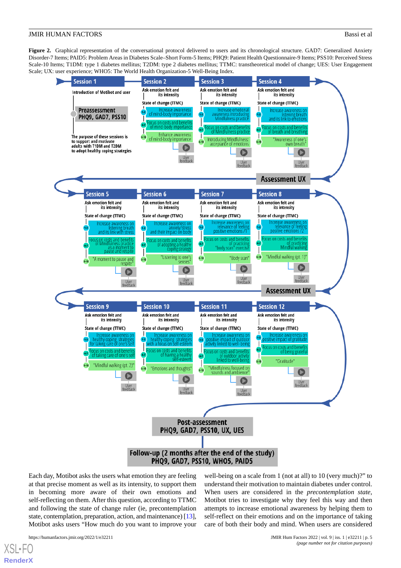<span id="page-4-0"></span>Figure 2. Graphical representation of the conversational protocol delivered to users and its chronological structure. GAD7: Generalized Anxiety Disorder-7 Items; PAID5: Problem Areas in Diabetes Scale–Short Form-5 Items; PHQ9: Patient Health Questionnaire-9 Items; PSS10: Perceived Stress Scale-10 Items; T1DM: type 1 diabetes mellitus; T2DM: type 2 diabetes mellitus; TTMC: transtheoretical model of change; UES: User Engagement Scale; UX: user experience; WHO5: The World Health Organization-5 Well-Being Index.



Each day, Motibot asks the users what emotion they are feeling at that precise moment as well as its intensity, to support them in becoming more aware of their own emotions and self-reflecting on them. After this question, according to TTMC and following the state of change ruler (ie, precontemplation state, contemplation, preparation, action, and maintenance) [\[13\]](#page-15-9), Motibot asks users "How much do you want to improve your

 $XS$  • F( **[RenderX](http://www.renderx.com/)**

https://humanfactors.jmir.org/2022/1/e32211 JMIR Hum Factors 2022 | vol. 9 | iss. 1 | e32211 | p. 5 *(page number not for citation purposes)*

well-being on a scale from 1 (not at all) to 10 (very much)?" to understand their motivation to maintain diabetes under control. When users are considered in the *precontemplation state*, Motibot tries to investigate why they feel this way and then attempts to increase emotional awareness by helping them to self-reflect on their emotions and on the importance of taking care of both their body and mind. When users are considered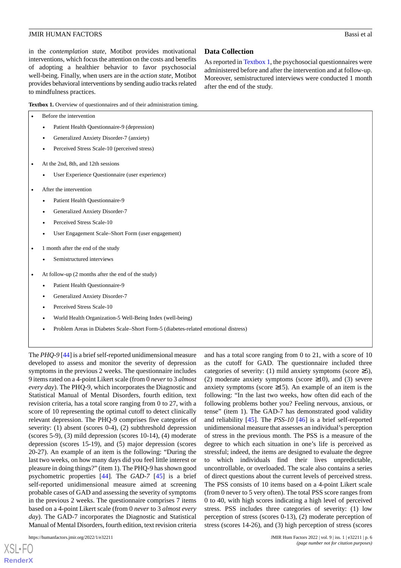in the *contemplation state*, Motibot provides motivational interventions, which focus the attention on the costs and benefits of adopting a healthier behavior to favor psychosocial well-being. Finally, when users are in the *action state*, Motibot provides behavioral interventions by sending audio tracks related to mindfulness practices.

<span id="page-5-0"></span>**Textbox 1.** Overview of questionnaires and of their administration timing.

| Before the intervention |                                             |
|-------------------------|---------------------------------------------|
|                         | Patient Health Questionnaire-9 (depression) |

- Generalized Anxiety Disorder-7 (anxiety)
- Perceived Stress Scale-10 (perceived stress)
- At the 2nd, 8th, and 12th sessions
	- User Experience Questionnaire (user experience)
- After the intervention
	- Patient Health Questionnaire-9
	- Generalized Anxiety Disorder-7
	- Perceived Stress Scale-10
	- User Engagement Scale–Short Form (user engagement)
- 1 month after the end of the study
	- Semistructured interviews
- At follow-up (2 months after the end of the study)
	- Patient Health Questionnaire-9
	- Generalized Anxiety Disorder-7
	- Perceived Stress Scale-10
	- World Health Organization-5 Well-Being Index (well-being)
	- Problem Areas in Diabetes Scale–Short Form-5 (diabetes-related emotional distress)

The *PHQ-9* [[44](#page-16-19)] is a brief self-reported unidimensional measure developed to assess and monitor the severity of depression symptoms in the previous 2 weeks. The questionnaire includes 9 items rated on a 4-point Likert scale (from 0 *never* to 3 *almost every day*). The PHQ-9, which incorporates the Diagnostic and Statistical Manual of Mental Disorders, fourth edition, text revision criteria, has a total score ranging from 0 to 27, with a score of 10 representing the optimal cutoff to detect clinically relevant depression. The PHQ-9 comprises five categories of severity: (1) absent (scores 0-4), (2) subthreshold depression (scores 5-9), (3) mild depression (scores 10-14), (4) moderate depression (scores 15-19), and (5) major depression (scores 20-27). An example of an item is the following: "During the last two weeks, on how many days did you feel little interest or pleasure in doing things?" (item 1). The PHQ-9 has shown good psychometric properties [[44\]](#page-16-19). The *GAD-7* [\[45](#page-16-20)] is a brief self-reported unidimensional measure aimed at screening probable cases of GAD and assessing the severity of symptoms in the previous 2 weeks. The questionnaire comprises 7 items based on a 4-point Likert scale (from 0 *never* to 3 *almost every day*). The GAD-7 incorporates the Diagnostic and Statistical Manual of Mental Disorders, fourth edition, text revision criteria

[XSL](http://www.w3.org/Style/XSL)•FO **[RenderX](http://www.renderx.com/)**

#### **Data Collection**

As reported in [Textbox 1](#page-5-0), the psychosocial questionnaires were administered before and after the intervention and at follow-up. Moreover, semistructured interviews were conducted 1 month after the end of the study.

and has a total score ranging from 0 to 21, with a score of 10 as the cutoff for GAD. The questionnaire included three categories of severity: (1) mild anxiety symptoms (score  $\geq 5$ ), (2) moderate anxiety symptoms (score  $\geq 10$ ), and (3) severe anxiety symptoms (score  $\geq$ 15). An example of an item is the following: "In the last two weeks, how often did each of the following problems bother you? Feeling nervous, anxious, or tense" (item 1). The GAD-7 has demonstrated good validity and reliability [[45\]](#page-16-20). The *PSS-10* [\[46](#page-16-21)] is a brief self-reported unidimensional measure that assesses an individual's perception of stress in the previous month. The PSS is a measure of the degree to which each situation in one's life is perceived as stressful; indeed, the items are designed to evaluate the degree to which individuals find their lives unpredictable, uncontrollable, or overloaded. The scale also contains a series of direct questions about the current levels of perceived stress. The PSS consists of 10 items based on a 4-point Likert scale (from 0 never to 5 very often). The total PSS score ranges from 0 to 40, with high scores indicating a high level of perceived stress. PSS includes three categories of severity: (1) low perception of stress (scores 0-13), (2) moderate perception of stress (scores 14-26), and (3) high perception of stress (scores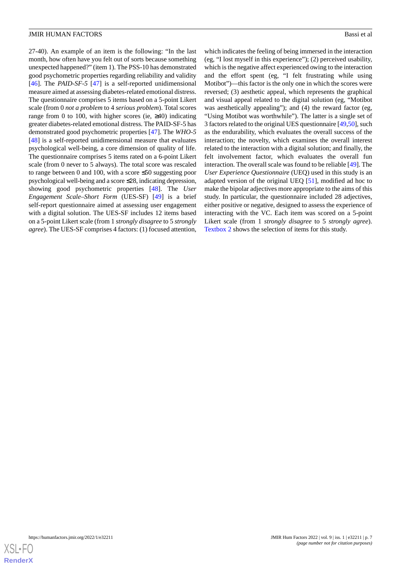27-40). An example of an item is the following: "In the last month, how often have you felt out of sorts because something unexpected happened?" (item 1). The PSS-10 has demonstrated good psychometric properties regarding reliability and validity [[46\]](#page-16-21). The *PAID-SF-5* [[47\]](#page-16-22) is a self-reported unidimensional measure aimed at assessing diabetes-related emotional distress. The questionnaire comprises 5 items based on a 5-point Likert scale (from 0 *not a problem* to 4 *serious problem*). Total scores range from 0 to 100, with higher scores (ie,  $\geq 40$ ) indicating greater diabetes-related emotional distress. The PAID-SF-5 has demonstrated good psychometric properties [[47\]](#page-16-22). The *WHO-5* [[48\]](#page-17-0) is a self-reported unidimensional measure that evaluates psychological well-being, a core dimension of quality of life. The questionnaire comprises 5 items rated on a 6-point Likert scale (from 0 never to 5 always). The total score was rescaled to range between 0 and 100, with a score ≤50 suggesting poor psychological well-being and a score ≤28, indicating depression, showing good psychometric properties [[48\]](#page-17-0). The *User Engagement Scale–Short Form* (UES-SF) [[49\]](#page-17-1) is a brief self-report questionnaire aimed at assessing user engagement with a digital solution. The UES-SF includes 12 items based on a 5-point Likert scale (from 1 *strongly disagree* to 5 *strongly agree*). The UES-SF comprises 4 factors: (1) focused attention,

which indicates the feeling of being immersed in the interaction (eg, "I lost myself in this experience"); (2) perceived usability, which is the negative affect experienced owing to the interaction and the effort spent (eg, "I felt frustrating while using Motibot")—this factor is the only one in which the scores were reversed; (3) aesthetic appeal, which represents the graphical and visual appeal related to the digital solution (eg, "Motibot was aesthetically appealing"); and (4) the reward factor (eg, "Using Motibot was worthwhile"). The latter is a single set of 3 factors related to the original UES questionnaire [\[49](#page-17-1),[50\]](#page-17-2), such as the endurability, which evaluates the overall success of the interaction; the novelty, which examines the overall interest related to the interaction with a digital solution; and finally, the felt involvement factor, which evaluates the overall fun interaction. The overall scale was found to be reliable [\[49](#page-17-1)]. The *User Experience Questionnaire* (UEQ) used in this study is an adapted version of the original UEQ [\[51](#page-17-3)], modified ad hoc to make the bipolar adjectives more appropriate to the aims of this study. In particular, the questionnaire included 28 adjectives, either positive or negative, designed to assess the experience of interacting with the VC. Each item was scored on a 5-point Likert scale (from 1 *strongly disagree* to 5 *strongly agree*). [Textbox 2](#page-7-0) shows the selection of items for this study.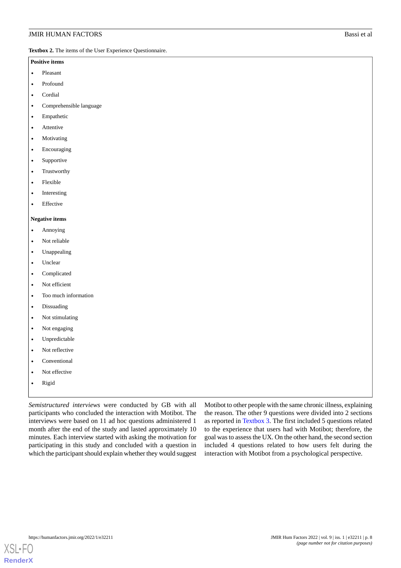<span id="page-7-0"></span>**Textbox 2.** The items of the User Experience Questionnaire.

#### **Positive items**

- Pleasant
- Profound
- Cordial
- Comprehensible language
- **Empathetic**
- **Attentive**
- Motivating
- **Encouraging**
- **Supportive**
- **Trustworthy**
- Flexible
- **Interesting**
- **Effective**

#### **Negative items**

- Annoying
- Not reliable
- Unappealing
- Unclear
- **Complicated**
- Not efficient
- Too much information
- **Dissuading**
- Not stimulating
- Not engaging
- Unpredictable
- Not reflective
- **Conventional**
- Not effective
- Rigid

*Semistructured interviews* were conducted by GB with all participants who concluded the interaction with Motibot. The interviews were based on 11 ad hoc questions administered 1 month after the end of the study and lasted approximately 10 minutes. Each interview started with asking the motivation for participating in this study and concluded with a question in which the participant should explain whether they would suggest

Motibot to other people with the same chronic illness, explaining the reason. The other 9 questions were divided into 2 sections as reported in [Textbox 3](#page-8-0). The first included 5 questions related to the experience that users had with Motibot; therefore, the goal was to assess the UX. On the other hand, the second section included 4 questions related to how users felt during the interaction with Motibot from a psychological perspective.

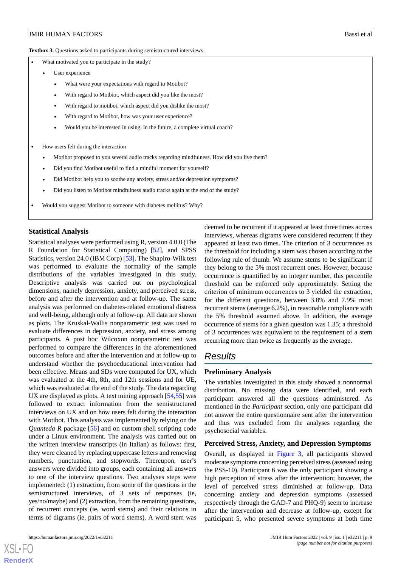<span id="page-8-0"></span>**Textbox 3.** Questions asked to participants during semistructured interviews.

- What motivated you to participate in the study?
	- User experience
		- What were your expectations with regard to Motibot?
		- With regard to Motbiot, which aspect did you like the most?
		- With regard to motibot, which aspect did you dislike the most?
		- With regard to Motibot, how was your user experience?
		- Would you be interested in using, in the future, a complete virtual coach?
- How users felt during the interaction
	- Motibot proposed to you several audio tracks regarding mindfulness. How did you live them?
	- Did you find Motibot useful to find a mindful moment for yourself?
	- Did Motibot help you to soothe any anxiety, stress and/or depression symptoms?
	- Did you listen to Motibot mindfulness audio tracks again at the end of the study?
- Would you suggest Motibot to someone with diabetes mellitus? Why?

#### **Statistical Analysis**

Statistical analyses were performed using R, version 4.0.0 (The R Foundation for Statistical Computing) [\[52](#page-17-4)], and SPSS Statistics, version 24.0 (IBM Corp) [\[53](#page-17-5)]. The Shapiro-Wilk test was performed to evaluate the normality of the sample distributions of the variables investigated in this study. Descriptive analysis was carried out on psychological dimensions, namely depression, anxiety, and perceived stress, before and after the intervention and at follow-up. The same analysis was performed on diabetes-related emotional distress and well-being, although only at follow-up. All data are shown as plots. The Kruskal-Wallis nonparametric test was used to evaluate differences in depression, anxiety, and stress among participants. A post hoc Wilcoxon nonparametric test was performed to compare the differences in the aforementioned outcomes before and after the intervention and at follow-up to understand whether the psychoeducational intervention had been effective. Means and SDs were computed for UX, which was evaluated at the 4th, 8th, and 12th sessions and for UE, which was evaluated at the end of the study. The data regarding UX are displayed as plots. A text mining approach [\[54](#page-17-6),[55\]](#page-17-7) was followed to extract information from the semistructured interviews on UX and on how users felt during the interaction with Motibot. This analysis was implemented by relying on the *Quanteda* R package [[56\]](#page-17-8) and on custom shell scripting code under a Linux environment. The analysis was carried out on the written interview transcripts (in Italian) as follows: first, they were cleaned by replacing uppercase letters and removing numbers, punctuation, and stopwords. Thereupon, user's answers were divided into groups, each containing all answers to one of the interview questions. Two analyses steps were implemented: (1) extraction, from some of the questions in the semistructured interviews, of 3 sets of responses (ie, yes/no/maybe) and (2) extraction, from the remaining questions, of recurrent concepts (ie, word stems) and their relations in terms of digrams (ie, pairs of word stems). A word stem was

[XSL](http://www.w3.org/Style/XSL)•FO **[RenderX](http://www.renderx.com/)**

deemed to be recurrent if it appeared at least three times across interviews, whereas digrams were considered recurrent if they appeared at least two times. The criterion of 3 occurrences as the threshold for including a stem was chosen according to the following rule of thumb. We assume stems to be significant if they belong to the 5% most recurrent ones. However, because occurrence is quantified by an integer number, this percentile threshold can be enforced only approximately. Setting the criterion of minimum occurrences to 3 yielded the extraction, for the different questions, between 3.8% and 7.9% most recurrent stems (average 6.2%), in reasonable compliance with the 5% threshold assumed above. In addition, the average occurrence of stems for a given question was 1.35; a threshold of 3 occurrences was equivalent to the requirement of a stem recurring more than twice as frequently as the average.

## *Results*

#### **Preliminary Analysis**

The variables investigated in this study showed a nonnormal distribution. No missing data were identified, and each participant answered all the questions administered. As mentioned in the *Participant* section, only one participant did not answer the entire questionnaire sent after the intervention and thus was excluded from the analyses regarding the psychosocial variables.

#### **Perceived Stress, Anxiety, and Depression Symptoms**

Overall, as displayed in [Figure 3,](#page-9-0) all participants showed moderate symptoms concerning perceived stress (assessed using the PSS-10). Participant 6 was the only participant showing a high perception of stress after the intervention; however, the level of perceived stress diminished at follow-up. Data concerning anxiety and depression symptoms (assessed respectively through the GAD-7 and PHQ-9) seem to increase after the intervention and decrease at follow-up, except for participant 5, who presented severe symptoms at both time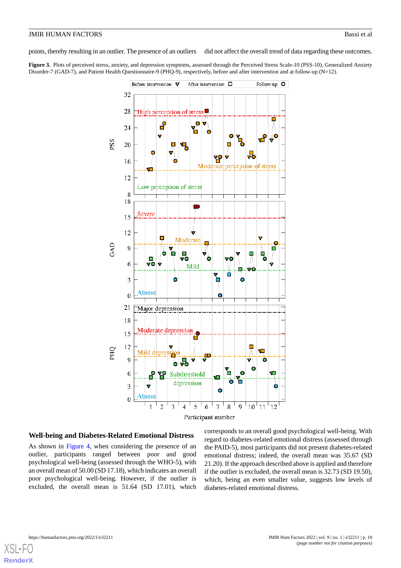points, thereby resulting in an outlier. The presence of an outliers did not affect the overall trend of data regarding these outcomes.

<span id="page-9-0"></span>**Figure 3.** Plots of perceived stress, anxiety, and depression symptoms, assessed through the Perceived Stress Scale-10 (PSS-10), Generalized Anxiety Disorder-7 (GAD-7), and Patient Health Questionnaire-9 (PHQ-9), respectively, before and after intervention and at follow-up (N=12).



#### **Well-being and Diabetes-Related Emotional Distress**

As shown in [Figure 4](#page-10-0), when considering the presence of an outlier, participants ranged between poor and good psychological well-being (assessed through the WHO-5), with an overall mean of 50.00 (SD 17.18), which indicates an overall poor psychological well-being. However, if the outlier is excluded, the overall mean is 51.64 (SD 17.01), which corresponds to an overall good psychological well-being. With regard to diabetes-related emotional distress (assessed through the PAID-5), most participants did not present diabetes-related emotional distress; indeed, the overall mean was 35.67 (SD 21.20). If the approach described above is applied and therefore if the outlier is excluded, the overall mean is 32.73 (SD 19.50), which, being an even smaller value, suggests low levels of diabetes-related emotional distress.

[XSL](http://www.w3.org/Style/XSL)•F **[RenderX](http://www.renderx.com/)**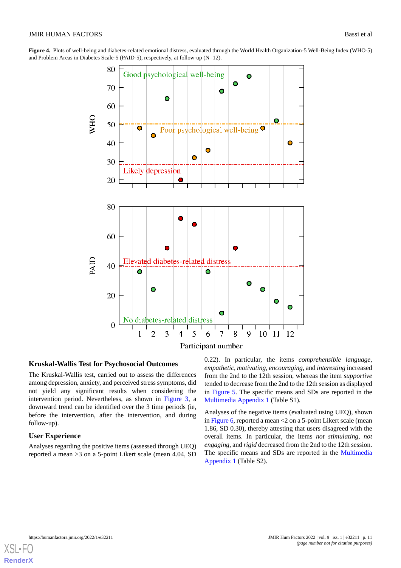<span id="page-10-0"></span>**Figure 4.** Plots of well-being and diabetes-related emotional distress, evaluated through the World Health Organization-5 Well-Being Index (WHO-5) and Problem Areas in Diabetes Scale-5 (PAID-5), respectively, at follow-up (N=12).



#### **Kruskal-Wallis Test for Psychosocial Outcomes**

The Kruskal-Wallis test, carried out to assess the differences among depression, anxiety, and perceived stress symptoms, did not yield any significant results when considering the intervention period. Nevertheless, as shown in [Figure 3,](#page-9-0) a downward trend can be identified over the 3 time periods (ie, before the intervention, after the intervention, and during follow-up).

## **User Experience**

Analyses regarding the positive items (assessed through UEQ) reported a mean >3 on a 5-point Likert scale (mean 4.04, SD 0.22). In particular, the items *comprehensible language*, *empathetic*, *motivating*, *encouraging*, and *interesting* increased from the 2nd to the 12th session, whereas the item *supportive* tended to decrease from the 2nd to the 12th session as displayed in [Figure 5.](#page-11-0) The specific means and SDs are reported in the [Multimedia Appendix 1](#page-14-2) (Table S1).

Analyses of the negative items (evaluated using UEQ), shown in [Figure 6,](#page-11-1) reported a mean  $<$  2 on a 5-point Likert scale (mean 1.86, SD 0.30), thereby attesting that users disagreed with the overall items. In particular, the items *not stimulating*, *not engaging*, and *rigid* decreased from the 2nd to the 12th session. The specific means and SDs are reported in the [Multimedia](#page-14-2) [Appendix 1](#page-14-2) (Table S2).

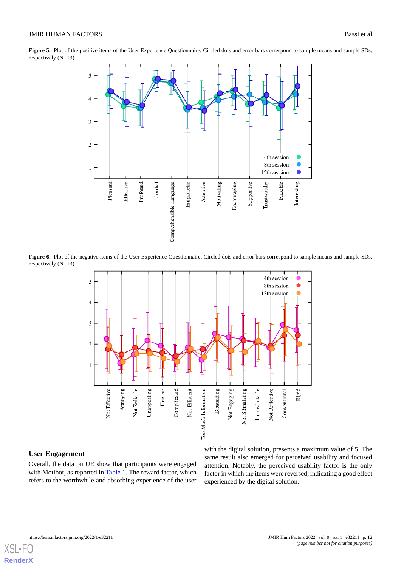<span id="page-11-0"></span>Figure 5. Plot of the positive items of the User Experience Questionnaire. Circled dots and error bars correspond to sample means and sample SDs, respectively (N=13).



<span id="page-11-1"></span>Figure 6. Plot of the negative items of the User Experience Questionnaire. Circled dots and error bars correspond to sample means and sample SDs, respectively (N=13).



#### **User Engagement**

Overall, the data on UE show that participants were engaged with Motibot, as reported in [Table 1](#page-12-0). The reward factor, which refers to the worthwhile and absorbing experience of the user

with the digital solution, presents a maximum value of 5. The same result also emerged for perceived usability and focused attention. Notably, the perceived usability factor is the only factor in which the items were reversed, indicating a good effect experienced by the digital solution.

[XSL](http://www.w3.org/Style/XSL)∙F **[RenderX](http://www.renderx.com/)**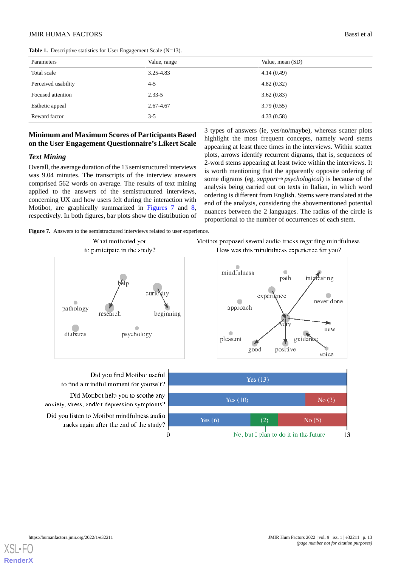| Parameters          | Value, range | Value, mean (SD) |  |  |
|---------------------|--------------|------------------|--|--|
| Total scale         | 3.25-4.83    | 4.14(0.49)       |  |  |
| Perceived usability | $4 - 5$      | 4.82(0.32)       |  |  |
| Focused attention   | $2.33 - 5$   | 3.62(0.83)       |  |  |
| Esthetic appeal     | 2.67-4.67    | 3.79(0.55)       |  |  |
| Reward factor       | $3 - 5$      | 4.33(0.58)       |  |  |

#### <span id="page-12-0"></span>**Table 1.** Descriptive statistics for User Engagement Scale (N=13).

## **Minimum and Maximum Scores of Participants Based on the User Engagement Questionnaire's Likert Scale**

#### *Text Mining*

Overall, the average duration of the 13 semistructured interviews was 9.04 minutes. The transcripts of the interview answers comprised 562 words on average. The results of text mining applied to the answers of the semistructured interviews, concerning UX and how users felt during the interaction with Motibot, are graphically summarized in [Figures 7](#page-12-1) and [8](#page-13-0), respectively. In both figures, bar plots show the distribution of

<span id="page-12-1"></span>Figure 7. Answers to the semistructured interviews related to user experience.



Did you find Motibot useful to find a mindful moment for yourself? Did Motibot help you to soothe any anxiety, stress, and/or depression symptoms? Did you listen to Motibot mindfulness audio tracks again after the end of the study?  $\theta$ 

3 types of answers (ie, yes/no/maybe), whereas scatter plots highlight the most frequent concepts, namely word stems appearing at least three times in the interviews. Within scatter plots, arrows identify recurrent digrams, that is, sequences of 2-word stems appearing at least twice within the interviews. It is worth mentioning that the apparently opposite ordering of some digrams (eg, *support*→*psychological*) is because of the analysis being carried out on texts in Italian, in which word ordering is different from English. Stems were translated at the end of the analysis, considering the abovementioned potential nuances between the 2 languages. The radius of the circle is proportional to the number of occurrences of each stem.





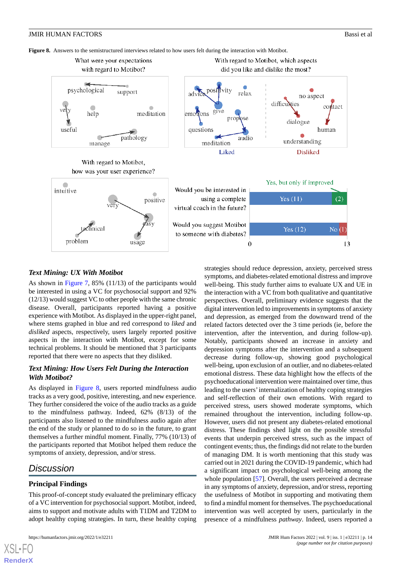<span id="page-13-0"></span>**Figure 8.** Answers to the semistructured interviews related to how users felt during the interaction with Motibot.



## *Text Mining: UX With Motibot*

As shown in [Figure 7,](#page-12-1) 85% (11/13) of the participants would be interested in using a VC for psychosocial support and 92% (12/13) would suggest VC to other people with the same chronic disease. Overall, participants reported having a positive experience with Motibot. As displayed in the upper-right panel, where stems graphed in blue and red correspond to *liked* and *disliked* aspects, respectively, users largely reported positive aspects in the interaction with Motibot, except for some technical problems. It should be mentioned that 3 participants reported that there were no aspects that they disliked.

## *Text Mining: How Users Felt During the Interaction With Motibot?*

As displayed in [Figure 8,](#page-13-0) users reported mindfulness audio tracks as a very good, positive, interesting, and new experience. They further considered the voice of the audio tracks as a guide to the mindfulness pathway. Indeed, 62% (8/13) of the participants also listened to the mindfulness audio again after the end of the study or planned to do so in the future, to grant themselves a further mindful moment. Finally, 77% (10/13) of the participants reported that Motibot helped them reduce the symptoms of anxiety, depression, and/or stress.

## *Discussion*

[XSL](http://www.w3.org/Style/XSL)•FO **[RenderX](http://www.renderx.com/)**

## **Principal Findings**

This proof-of-concept study evaluated the preliminary efficacy of a VC intervention for psychosocial support. Motibot, indeed, aims to support and motivate adults with T1DM and T2DM to adopt healthy coping strategies. In turn, these healthy coping

strategies should reduce depression, anxiety, perceived stress symptoms, and diabetes-related emotional distress and improve well-being. This study further aims to evaluate UX and UE in the interaction with a VC from both qualitative and quantitative perspectives. Overall, preliminary evidence suggests that the digital intervention led to improvements in symptoms of anxiety and depression, as emerged from the downward trend of the related factors detected over the 3 time periods (ie, before the intervention, after the intervention, and during follow-up). Notably, participants showed an increase in anxiety and depression symptoms after the intervention and a subsequent decrease during follow-up, showing good psychological well-being, upon exclusion of an outlier, and no diabetes-related emotional distress. These data highlight how the effects of the psychoeducational intervention were maintained over time, thus leading to the users'internalization of healthy coping strategies and self-reflection of their own emotions. With regard to perceived stress, users showed moderate symptoms, which remained throughout the intervention, including follow-up. However, users did not present any diabetes-related emotional distress. These findings shed light on the possible stressful events that underpin perceived stress, such as the impact of contingent events; thus, the findings did not relate to the burden of managing DM. It is worth mentioning that this study was carried out in 2021 during the COVID-19 pandemic, which had a significant impact on psychological well-being among the whole population [\[57](#page-17-9)]. Overall, the users perceived a decrease in any symptoms of anxiety, depression, and/or stress, reporting the usefulness of Motibot in supporting and motivating them to find a mindful moment for themselves. The psychoeducational intervention was well accepted by users, particularly in the presence of a mindfulness *pathway*. Indeed, users reported a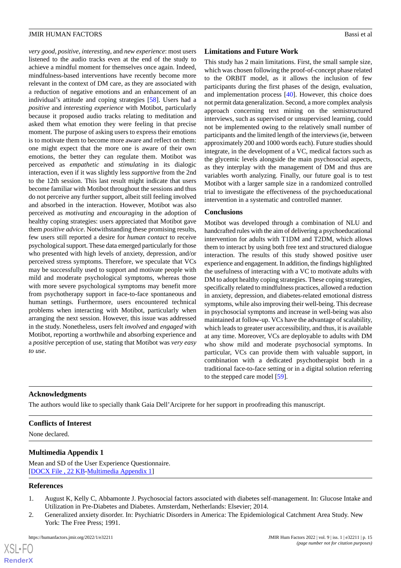*very good*, *positive*, *interesting*, and *new experience*: most users listened to the audio tracks even at the end of the study to achieve a mindful moment for themselves once again. Indeed, mindfulness-based interventions have recently become more relevant in the context of DM care, as they are associated with a reduction of negative emotions and an enhancement of an individual's attitude and coping strategies [\[58](#page-17-10)]. Users had a *positive* and *interesting experience* with Motibot, particularly because it proposed audio tracks relating to meditation and asked them what emotion they were feeling in that precise moment. The purpose of asking users to express their emotions is to motivate them to become more aware and reflect on them: one might expect that the more one is aware of their own emotions, the better they can regulate them. Motibot was perceived as *empathetic* and *stimulating* in its dialogic interaction, even if it was slightly less *supportive* from the 2nd to the 12th session. This last result might indicate that users become familiar with Motibot throughout the sessions and thus do not perceive any further support, albeit still feeling involved and absorbed in the interaction. However, Motibot was also perceived as *motivating* and *encouraging* in the adoption of healthy coping strategies: users appreciated that Motibot gave them *positive advice*. Notwithstanding these promising results, few users still reported a desire for *human contact* to receive psychological support. These data emerged particularly for those who presented with high levels of anxiety, depression, and/or perceived stress symptoms. Therefore, we speculate that VCs may be successfully used to support and motivate people with mild and moderate psychological symptoms, whereas those with more severe psychological symptoms may benefit more from psychotherapy support in face-to-face spontaneous and human settings. Furthermore, users encountered technical problems when interacting with Motibot, particularly when arranging the next session. However, this issue was addressed in the study. Nonetheless, users felt *involved* and *engaged* with Motibot, reporting a worthwhile and absorbing experience and a *positive* perception of use, stating that Motibot was *very easy to use*.

## **Limitations and Future Work**

This study has 2 main limitations. First, the small sample size, which was chosen following the proof-of-concept phase related to the ORBIT model, as it allows the inclusion of few participants during the first phases of the design, evaluation, and implementation process [\[40](#page-16-15)]. However, this choice does not permit data generalization. Second, a more complex analysis approach concerning text mining on the semistructured interviews, such as supervised or unsupervised learning, could not be implemented owing to the relatively small number of participants and the limited length of the interviews (ie, between approximately 200 and 1000 words each). Future studies should integrate, in the development of a VC, medical factors such as the glycemic levels alongside the main psychosocial aspects, as they interplay with the management of DM and thus are variables worth analyzing. Finally, our future goal is to test Motibot with a larger sample size in a randomized controlled trial to investigate the effectiveness of the psychoeducational intervention in a systematic and controlled manner.

#### **Conclusions**

Motibot was developed through a combination of NLU and handcrafted rules with the aim of delivering a psychoeducational intervention for adults with T1DM and T2DM, which allows them to interact by using both free text and structured dialogue interaction. The results of this study showed positive user experience and engagement. In addition, the findings highlighted the usefulness of interacting with a VC to motivate adults with DM to adopt healthy coping strategies. These coping strategies, specifically related to mindfulness practices, allowed a reduction in anxiety, depression, and diabetes-related emotional distress symptoms, while also improving their well-being. This decrease in psychosocial symptoms and increase in well-being was also maintained at follow-up. VCs have the advantage of scalability, which leads to greater user accessibility, and thus, it is available at any time. Moreover, VCs are deployable to adults with DM who show mild and moderate psychosocial symptoms. In particular, VCs can provide them with valuable support, in combination with a dedicated psychotherapist both in a traditional face-to-face setting or in a digital solution referring to the stepped care model [[59\]](#page-17-11).

## **Acknowledgments**

<span id="page-14-2"></span>The authors would like to specially thank Gaia Dell'Arciprete for her support in proofreading this manuscript.

## **Conflicts of Interest**

None declared.

## <span id="page-14-0"></span>**Multimedia Appendix 1**

<span id="page-14-1"></span>Mean and SD of the User Experience Questionnaire. [[DOCX File , 22 KB](https://jmir.org/api/download?alt_name=humanfactors_v9i1e32211_app1.docx&filename=323dc3c38c8173710cad4a2b2accfd31.docx)-[Multimedia Appendix 1\]](https://jmir.org/api/download?alt_name=humanfactors_v9i1e32211_app1.docx&filename=323dc3c38c8173710cad4a2b2accfd31.docx)

#### **References**

 $XSI - F($ **[RenderX](http://www.renderx.com/)**

- 1. August K, Kelly C, Abbamonte J. Psychosocial factors associated with diabetes self-management. In: Glucose Intake and Utilization in Pre-Diabetes and Diabetes. Amsterdam, Netherlands: Elsevier; 2014.
- 2. Generalized anxiety disorder. In: Psychiatric Disorders in America: The Epidemiological Catchment Area Study. New York: The Free Press; 1991.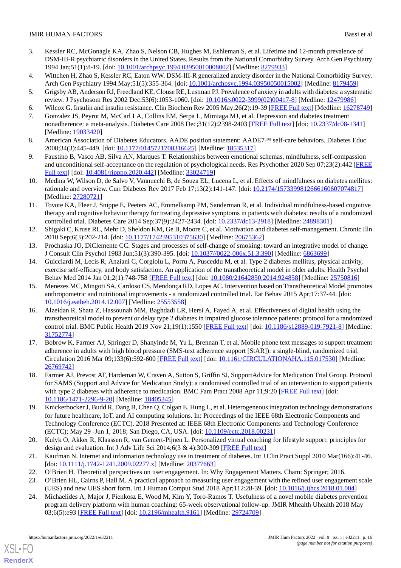- 3. Kessler RC, McGonagle KA, Zhao S, Nelson CB, Hughes M, Eshleman S, et al. Lifetime and 12-month prevalence of DSM-III-R psychiatric disorders in the United States. Results from the National Comorbidity Survey. Arch Gen Psychiatry 1994 Jan;51(1):8-19. [doi: [10.1001/archpsyc.1994.03950010008002](http://dx.doi.org/10.1001/archpsyc.1994.03950010008002)] [Medline: [8279933\]](http://www.ncbi.nlm.nih.gov/entrez/query.fcgi?cmd=Retrieve&db=PubMed&list_uids=8279933&dopt=Abstract)
- <span id="page-15-1"></span><span id="page-15-0"></span>4. Wittchen H, Zhao S, Kessler RC, Eaton WW. DSM-III-R generalized anxiety disorder in the National Comorbidity Survey. Arch Gen Psychiatry 1994 May;51(5):355-364. [doi: [10.1001/archpsyc.1994.03950050015002](http://dx.doi.org/10.1001/archpsyc.1994.03950050015002)] [Medline: [8179459](http://www.ncbi.nlm.nih.gov/entrez/query.fcgi?cmd=Retrieve&db=PubMed&list_uids=8179459&dopt=Abstract)]
- <span id="page-15-2"></span>5. Grigsby AB, Anderson RJ, Freedland KE, Clouse RE, Lustman PJ. Prevalence of anxiety in adults with diabetes: a systematic review. J Psychosom Res 2002 Dec;53(6):1053-1060. [doi: [10.1016/s0022-3999\(02\)00417-8\]](http://dx.doi.org/10.1016/s0022-3999(02)00417-8) [Medline: [12479986](http://www.ncbi.nlm.nih.gov/entrez/query.fcgi?cmd=Retrieve&db=PubMed&list_uids=12479986&dopt=Abstract)]
- <span id="page-15-3"></span>6. Wilcox G. Insulin and insulin resistance. Clin Biochem Rev 2005 May;26(2):19-39 [\[FREE Full text](http://europepmc.org/abstract/MED/16278749)] [Medline: [16278749](http://www.ncbi.nlm.nih.gov/entrez/query.fcgi?cmd=Retrieve&db=PubMed&list_uids=16278749&dopt=Abstract)]
- <span id="page-15-4"></span>7. Gonzalez JS, Peyrot M, McCarl LA, Collins EM, Serpa L, Mimiaga MJ, et al. Depression and diabetes treatment nonadherence: a meta-analysis. Diabetes Care 2008 Dec;31(12):2398-2403 [\[FREE Full text\]](http://europepmc.org/abstract/MED/19033420) [doi: [10.2337/dc08-1341\]](http://dx.doi.org/10.2337/dc08-1341) [Medline: [19033420](http://www.ncbi.nlm.nih.gov/entrez/query.fcgi?cmd=Retrieve&db=PubMed&list_uids=19033420&dopt=Abstract)]
- <span id="page-15-5"></span>8. American Association of Diabetes Educators. AADE position statement: AADE7™ self-care behaviors. Diabetes Educ 2008;34(3):445-449. [doi: [10.1177/0145721708316625\]](http://dx.doi.org/10.1177/0145721708316625) [Medline: [18535317](http://www.ncbi.nlm.nih.gov/entrez/query.fcgi?cmd=Retrieve&db=PubMed&list_uids=18535317&dopt=Abstract)]
- <span id="page-15-6"></span>9. Faustino B, Vasco AB, Silva AN, Marques T. Relationships between emotional schemas, mindfulness, self-compassion and unconditional self-acceptance on the regulation of psychological needs. Res Psychother 2020 Sep 07;23(2):442 [\[FREE](https://doi.org/10.4081/ripppo.2020.442) [Full text\]](https://doi.org/10.4081/ripppo.2020.442) [doi: [10.4081/ripppo.2020.442\]](http://dx.doi.org/10.4081/ripppo.2020.442) [Medline: [33024719](http://www.ncbi.nlm.nih.gov/entrez/query.fcgi?cmd=Retrieve&db=PubMed&list_uids=33024719&dopt=Abstract)]
- <span id="page-15-7"></span>10. Medina W, Wilson D, de Salvo V, Vannucchi B, de Souza EL, Lucena L, et al. Effects of mindfulness on diabetes mellitus: rationale and overview. Curr Diabetes Rev 2017 Feb 17;13(2):141-147. [doi: [10.2174/1573399812666160607074817\]](http://dx.doi.org/10.2174/1573399812666160607074817) [Medline: [27280721](http://www.ncbi.nlm.nih.gov/entrez/query.fcgi?cmd=Retrieve&db=PubMed&list_uids=27280721&dopt=Abstract)]
- <span id="page-15-8"></span>11. Tovote KA, Fleer J, Snippe E, Peeters AC, Emmelkamp PM, Sanderman R, et al. Individual mindfulness-based cognitive therapy and cognitive behavior therapy for treating depressive symptoms in patients with diabetes: results of a randomized controlled trial. Diabetes Care 2014 Sep;37(9):2427-2434. [doi: [10.2337/dc13-2918](http://dx.doi.org/10.2337/dc13-2918)] [Medline: [24898301\]](http://www.ncbi.nlm.nih.gov/entrez/query.fcgi?cmd=Retrieve&db=PubMed&list_uids=24898301&dopt=Abstract)
- <span id="page-15-10"></span><span id="page-15-9"></span>12. Shigaki C, Kruse RL, Mehr D, Sheldon KM, Ge B, Moore C, et al. Motivation and diabetes self-management. Chronic Illn 2010 Sep;6(3):202-214. [doi: [10.1177/1742395310375630](http://dx.doi.org/10.1177/1742395310375630)] [Medline: [20675362](http://www.ncbi.nlm.nih.gov/entrez/query.fcgi?cmd=Retrieve&db=PubMed&list_uids=20675362&dopt=Abstract)]
- 13. Prochaska JO, DiClemente CC. Stages and processes of self-change of smoking: toward an integrative model of change. J Consult Clin Psychol 1983 Jun;51(3):390-395. [doi: [10.1037//0022-006x.51.3.390\]](http://dx.doi.org/10.1037//0022-006x.51.3.390) [Medline: [6863699](http://www.ncbi.nlm.nih.gov/entrez/query.fcgi?cmd=Retrieve&db=PubMed&list_uids=6863699&dopt=Abstract)]
- <span id="page-15-11"></span>14. Guicciardi M, Lecis R, Anziani C, Corgiolu L, Porru A, Pusceddu M, et al. Type 2 diabetes mellitus, physical activity, exercise self-efficacy, and body satisfaction. An application of the transtheoretical model in older adults. Health Psychol Behav Med 2014 Jan 01;2(1):748-758 [[FREE Full text](http://europepmc.org/abstract/MED/25750816)] [doi: [10.1080/21642850.2014.924858\]](http://dx.doi.org/10.1080/21642850.2014.924858) [Medline: [25750816\]](http://www.ncbi.nlm.nih.gov/entrez/query.fcgi?cmd=Retrieve&db=PubMed&list_uids=25750816&dopt=Abstract)
- <span id="page-15-12"></span>15. Menezes MC, Mingoti SA, Cardoso CS, Mendonça RD, Lopes AC. Intervention based on Transtheoretical Model promotes anthropometric and nutritional improvements - a randomized controlled trial. Eat Behav 2015 Apr;17:37-44. [doi: [10.1016/j.eatbeh.2014.12.007\]](http://dx.doi.org/10.1016/j.eatbeh.2014.12.007) [Medline: [25553558\]](http://www.ncbi.nlm.nih.gov/entrez/query.fcgi?cmd=Retrieve&db=PubMed&list_uids=25553558&dopt=Abstract)
- <span id="page-15-13"></span>16. Alzeidan R, Shata Z, Hassounah MM, Baghdadi LR, Hersi A, Fayed A, et al. Effectiveness of digital health using the transtheoretical model to prevent or delay type 2 diabetes in impaired glucose tolerance patients: protocol for a randomized control trial. BMC Public Health 2019 Nov 21;19(1):1550 [[FREE Full text\]](https://bmcpublichealth.biomedcentral.com/articles/10.1186/s12889-019-7921-8) [doi: [10.1186/s12889-019-7921-8](http://dx.doi.org/10.1186/s12889-019-7921-8)] [Medline: [31752774](http://www.ncbi.nlm.nih.gov/entrez/query.fcgi?cmd=Retrieve&db=PubMed&list_uids=31752774&dopt=Abstract)]
- <span id="page-15-14"></span>17. Bobrow K, Farmer AJ, Springer D, Shanyinde M, Yu L, Brennan T, et al. Mobile phone text messages to support treatment adherence in adults with high blood pressure (SMS-text adherence support [StAR]): a single-blind, randomized trial. Circulation 2016 Mar 09;133(6):592-600 [\[FREE Full text\]](http://europepmc.org/abstract/MED/26769742) [doi: [10.1161/CIRCULATIONAHA.115.017530\]](http://dx.doi.org/10.1161/CIRCULATIONAHA.115.017530) [Medline: [26769742](http://www.ncbi.nlm.nih.gov/entrez/query.fcgi?cmd=Retrieve&db=PubMed&list_uids=26769742&dopt=Abstract)]
- <span id="page-15-15"></span>18. Farmer AJ, Prevost AT, Hardeman W, Craven A, Sutton S, Griffin SJ, SupportAdvice for Medication Trial Group. Protocol for SAMS (Support and Advice for Medication Study): a randomised controlled trial of an intervention to support patients with type 2 diabetes with adherence to medication. BMC Fam Pract 2008 Apr 11;9:20 [\[FREE Full text\]](https://bmcfampract.biomedcentral.com/articles/10.1186/1471-2296-9-20) [doi: [10.1186/1471-2296-9-20\]](http://dx.doi.org/10.1186/1471-2296-9-20) [Medline: [18405345\]](http://www.ncbi.nlm.nih.gov/entrez/query.fcgi?cmd=Retrieve&db=PubMed&list_uids=18405345&dopt=Abstract)
- <span id="page-15-17"></span><span id="page-15-16"></span>19. Knickerbocker J, Budd R, Dang B, Chen Q, Colgan E, Hung L, et al. Heterogeneous integration technology demonstrations for future healthcare, IoT, and AI computing solutions. In: Proceedings of the IEEE 68th Electronic Components and Technology Conference (ECTC). 2018 Presented at: IEEE 68th Electronic Components and Technology Conference (ECTC); May 29 -Jun 1, 2018; San Diego, CA, USA. [doi: [10.1109/ectc.2018.00231\]](http://dx.doi.org/10.1109/ectc.2018.00231)
- <span id="page-15-20"></span><span id="page-15-19"></span><span id="page-15-18"></span>20. Kulyk O, Akker R, Klaassen R, van Gemert-Pijnen L. Personalized virtual coaching for lifestyle support: principles for design and evaluation. Int J Adv Life Sci 2014;6(3 & 4):300-309 [[FREE Full text\]](https://citeseerx.ist.psu.edu/viewdoc/download?doi=10.1.1.685.6911&rep=rep1&type=pdf)
- 21. Kaufman N. Internet and information technology use in treatment of diabetes. Int J Clin Pract Suppl 2010 Mar(166):41-46. [doi: [10.1111/j.1742-1241.2009.02277.x](http://dx.doi.org/10.1111/j.1742-1241.2009.02277.x)] [Medline: [20377663](http://www.ncbi.nlm.nih.gov/entrez/query.fcgi?cmd=Retrieve&db=PubMed&list_uids=20377663&dopt=Abstract)]
- 22. O'Brien H. Theoretical perspectives on user engagement. In: Why Engagement Matters. Cham: Springer; 2016.
- 23. O'Brien HL, Cairns P, Hall M. A practical approach to measuring user engagement with the refined user engagement scale (UES) and new UES short form. Int J Human Comput Stud 2018 Apr;112:28-39. [doi: [10.1016/j.ijhcs.2018.01.004](http://dx.doi.org/10.1016/j.ijhcs.2018.01.004)]
- 24. Michaelides A, Major J, Pienkosz E, Wood M, Kim Y, Toro-Ramos T. Usefulness of a novel mobile diabetes prevention program delivery platform with human coaching: 65-week observational follow-up. JMIR Mhealth Uhealth 2018 May 03;6(5):e93 [\[FREE Full text](https://mhealth.jmir.org/2018/5/e93/)] [doi: [10.2196/mhealth.9161\]](http://dx.doi.org/10.2196/mhealth.9161) [Medline: [29724709](http://www.ncbi.nlm.nih.gov/entrez/query.fcgi?cmd=Retrieve&db=PubMed&list_uids=29724709&dopt=Abstract)]

[XSL](http://www.w3.org/Style/XSL)•FO **[RenderX](http://www.renderx.com/)**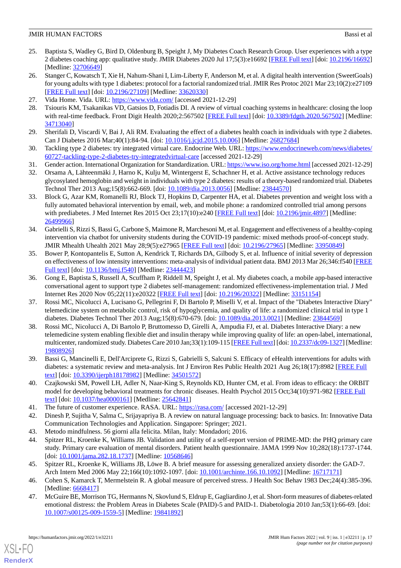- <span id="page-16-0"></span>25. Baptista S, Wadley G, Bird D, Oldenburg B, Speight J, My Diabetes Coach Research Group. User experiences with a type 2 diabetes coaching app: qualitative study. JMIR Diabetes 2020 Jul 17;5(3):e16692 [\[FREE Full text](https://diabetes.jmir.org/2020/3/e16692/)] [doi: [10.2196/16692](http://dx.doi.org/10.2196/16692)] [Medline: [32706649](http://www.ncbi.nlm.nih.gov/entrez/query.fcgi?cmd=Retrieve&db=PubMed&list_uids=32706649&dopt=Abstract)]
- <span id="page-16-1"></span>26. Stanger C, Kowatsch T, Xie H, Nahum-Shani I, Lim-Liberty F, Anderson M, et al. A digital health intervention (SweetGoals) for young adults with type 1 diabetes: protocol for a factorial randomized trial. JMIR Res Protoc 2021 Mar 23;10(2):e27109 [[FREE Full text](https://www.researchprotocols.org/2021/2/e27109/)] [doi: [10.2196/27109\]](http://dx.doi.org/10.2196/27109) [Medline: [33620330\]](http://www.ncbi.nlm.nih.gov/entrez/query.fcgi?cmd=Retrieve&db=PubMed&list_uids=33620330&dopt=Abstract)
- <span id="page-16-3"></span><span id="page-16-2"></span>27. Vida Home. Vida. URL:<https://www.vida.com/> [accessed 2021-12-29]
- <span id="page-16-4"></span>28. Tsiouris KM, Tsakanikas VD, Gatsios D, Fotiadis DI. A review of virtual coaching systems in healthcare: closing the loop with real-time feedback. Front Digit Health 2020;2:567502 [[FREE Full text](http://europepmc.org/abstract/MED/34713040)] [doi: [10.3389/fdgth.2020.567502\]](http://dx.doi.org/10.3389/fdgth.2020.567502) [Medline: [34713040](http://www.ncbi.nlm.nih.gov/entrez/query.fcgi?cmd=Retrieve&db=PubMed&list_uids=34713040&dopt=Abstract)]
- <span id="page-16-5"></span>29. Sherifali D, Viscardi V, Bai J, Ali RM. Evaluating the effect of a diabetes health coach in individuals with type 2 diabetes. Can J Diabetes 2016 Mar; 40(1): 84-94. [doi: [10.1016/j.jcjd.2015.10.006](http://dx.doi.org/10.1016/j.jcjd.2015.10.006)] [Medline: [26827684\]](http://www.ncbi.nlm.nih.gov/entrez/query.fcgi?cmd=Retrieve&db=PubMed&list_uids=26827684&dopt=Abstract)
- <span id="page-16-7"></span><span id="page-16-6"></span>30. Tackling type 2 diabetes: try integrated virtual care. Endocrine Web. URL: [https://www.endocrineweb.com/news/diabetes/](https://www.endocrineweb.com/news/diabetes/60727-tackling-type-2-diabetes-try-integratedvirtual-care) [60727-tackling-type-2-diabetes-try-integratedvirtual-care](https://www.endocrineweb.com/news/diabetes/60727-tackling-type-2-diabetes-try-integratedvirtual-care) [accessed 2021-12-29]
- 31. Gender action. International Organization for Standardization. URL:<https://www.iso.org/home.html> [accessed 2021-12-29]
- <span id="page-16-8"></span>32. Orsama A, Lähteenmäki J, Harno K, Kulju M, Wintergerst E, Schachner H, et al. Active assistance technology reduces glycosylated hemoglobin and weight in individuals with type 2 diabetes: results of a theory-based randomized trial. Diabetes Technol Ther 2013 Aug;15(8):662-669. [doi: [10.1089/dia.2013.0056\]](http://dx.doi.org/10.1089/dia.2013.0056) [Medline: [23844570](http://www.ncbi.nlm.nih.gov/entrez/query.fcgi?cmd=Retrieve&db=PubMed&list_uids=23844570&dopt=Abstract)]
- <span id="page-16-9"></span>33. Block G, Azar KM, Romanelli RJ, Block TJ, Hopkins D, Carpenter HA, et al. Diabetes prevention and weight loss with a fully automated behavioral intervention by email, web, and mobile phone: a randomized controlled trial among persons with prediabetes. J Med Internet Res 2015 Oct 23;17(10):e240 [[FREE Full text](https://www.jmir.org/2015/10/e240/)] [doi: [10.2196/jmir.4897](http://dx.doi.org/10.2196/jmir.4897)] [Medline: [26499966](http://www.ncbi.nlm.nih.gov/entrez/query.fcgi?cmd=Retrieve&db=PubMed&list_uids=26499966&dopt=Abstract)]
- <span id="page-16-10"></span>34. Gabrielli S, Rizzi S, Bassi G, Carbone S, Maimone R, Marchesoni M, et al. Engagement and effectiveness of a healthy-coping intervention via chatbot for university students during the COVID-19 pandemic: mixed methods proof-of-concept study. JMIR Mhealth Uhealth 2021 May 28;9(5):e27965 [[FREE Full text](https://mhealth.jmir.org/2021/5/e27965/)] [doi: [10.2196/27965](http://dx.doi.org/10.2196/27965)] [Medline: [33950849](http://www.ncbi.nlm.nih.gov/entrez/query.fcgi?cmd=Retrieve&db=PubMed&list_uids=33950849&dopt=Abstract)]
- <span id="page-16-11"></span>35. Bower P, Kontopantelis E, Sutton A, Kendrick T, Richards DA, Gilbody S, et al. Influence of initial severity of depression on effectiveness of low intensity interventions: meta-analysis of individual patient data. BMJ 2013 Mar 26;346:f540 [\[FREE](http://www.bmj.com/lookup/pmidlookup?view=long&pmid=23444423) [Full text\]](http://www.bmj.com/lookup/pmidlookup?view=long&pmid=23444423) [doi: [10.1136/bmj.f540\]](http://dx.doi.org/10.1136/bmj.f540) [Medline: [23444423\]](http://www.ncbi.nlm.nih.gov/entrez/query.fcgi?cmd=Retrieve&db=PubMed&list_uids=23444423&dopt=Abstract)
- <span id="page-16-12"></span>36. Gong E, Baptista S, Russell A, Scuffham P, Riddell M, Speight J, et al. My diabetes coach, a mobile app-based interactive conversational agent to support type 2 diabetes self-management: randomized effectiveness-implementation trial. J Med Internet Res 2020 Nov 05;22(11):e20322 [\[FREE Full text\]](https://www.jmir.org/2020/11/e20322/) [doi: [10.2196/20322](http://dx.doi.org/10.2196/20322)] [Medline: [33151154\]](http://www.ncbi.nlm.nih.gov/entrez/query.fcgi?cmd=Retrieve&db=PubMed&list_uids=33151154&dopt=Abstract)
- <span id="page-16-13"></span>37. Rossi MC, Nicolucci A, Lucisano G, Pellegrini F, Di Bartolo P, Miselli V, et al. Impact of the "Diabetes Interactive Diary" telemedicine system on metabolic control, risk of hypoglycemia, and quality of life: a randomized clinical trial in type 1 diabetes. Diabetes Technol Ther 2013 Aug;15(8):670-679. [doi: [10.1089/dia.2013.0021\]](http://dx.doi.org/10.1089/dia.2013.0021) [Medline: [23844569\]](http://www.ncbi.nlm.nih.gov/entrez/query.fcgi?cmd=Retrieve&db=PubMed&list_uids=23844569&dopt=Abstract)
- <span id="page-16-14"></span>38. Rossi MC, Nicolucci A, Di Bartolo P, Bruttomesso D, Girelli A, Ampudia FJ, et al. Diabetes Interactive Diary: a new telemedicine system enabling flexible diet and insulin therapy while improving quality of life: an open-label, international, multicenter, randomized study. Diabetes Care 2010 Jan;33(1):109-115 [[FREE Full text](http://europepmc.org/abstract/MED/19808926)] [doi: [10.2337/dc09-1327](http://dx.doi.org/10.2337/dc09-1327)] [Medline: [19808926](http://www.ncbi.nlm.nih.gov/entrez/query.fcgi?cmd=Retrieve&db=PubMed&list_uids=19808926&dopt=Abstract)]
- <span id="page-16-16"></span><span id="page-16-15"></span>39. Bassi G, Mancinelli E, Dell'Arciprete G, Rizzi S, Gabrielli S, Salcuni S. Efficacy of eHealth interventions for adults with diabetes: a systematic review and meta-analysis. Int J Environ Res Public Health 2021 Aug 26;18(17):8982 [[FREE Full](https://www.mdpi.com/resolver?pii=ijerph18178982) [text](https://www.mdpi.com/resolver?pii=ijerph18178982)] [doi: [10.3390/ijerph18178982](http://dx.doi.org/10.3390/ijerph18178982)] [Medline: [34501572\]](http://www.ncbi.nlm.nih.gov/entrez/query.fcgi?cmd=Retrieve&db=PubMed&list_uids=34501572&dopt=Abstract)
- <span id="page-16-18"></span><span id="page-16-17"></span>40. Czajkowski SM, Powell LH, Adler N, Naar-King S, Reynolds KD, Hunter CM, et al. From ideas to efficacy: the ORBIT model for developing behavioral treatments for chronic diseases. Health Psychol 2015 Oct;34(10):971-982 [[FREE Full](http://europepmc.org/abstract/MED/25642841) [text](http://europepmc.org/abstract/MED/25642841)] [doi: [10.1037/hea0000161\]](http://dx.doi.org/10.1037/hea0000161) [Medline: [25642841](http://www.ncbi.nlm.nih.gov/entrez/query.fcgi?cmd=Retrieve&db=PubMed&list_uids=25642841&dopt=Abstract)]
- <span id="page-16-19"></span>41. The future of customer experience. RASA. URL:<https://rasa.com/> [accessed 2021-12-29]
- <span id="page-16-20"></span>42. Dinesh P, Sujitha V, Salma C, Srijayapriya B. A review on natural language processing: back to basics. In: Innovative Data Communication Technologies and Application. Singapore: Springer; 2021.
- <span id="page-16-21"></span>43. Metodo mindfulness. 56 giorni alla felicita. Milan, Italy: Mondadori; 2016.
- <span id="page-16-22"></span>44. Spitzer RL, Kroenke K, Williams JB. Validation and utility of a self-report version of PRIME-MD: the PHQ primary care study. Primary care evaluation of mental disorders. Patient health questionnaire. JAMA 1999 Nov 10;282(18):1737-1744. [doi: [10.1001/jama.282.18.1737](http://dx.doi.org/10.1001/jama.282.18.1737)] [Medline: [10568646\]](http://www.ncbi.nlm.nih.gov/entrez/query.fcgi?cmd=Retrieve&db=PubMed&list_uids=10568646&dopt=Abstract)
- 45. Spitzer RL, Kroenke K, Williams JB, Löwe B. A brief measure for assessing generalized anxiety disorder: the GAD-7. Arch Intern Med 2006 May 22;166(10):1092-1097. [doi: [10.1001/archinte.166.10.1092](http://dx.doi.org/10.1001/archinte.166.10.1092)] [Medline: [16717171](http://www.ncbi.nlm.nih.gov/entrez/query.fcgi?cmd=Retrieve&db=PubMed&list_uids=16717171&dopt=Abstract)]
- 46. Cohen S, Kamarck T, Mermelstein R. A global measure of perceived stress. J Health Soc Behav 1983 Dec;24(4):385-396. [Medline: [6668417\]](http://www.ncbi.nlm.nih.gov/entrez/query.fcgi?cmd=Retrieve&db=PubMed&list_uids=6668417&dopt=Abstract)
- 47. McGuire BE, Morrison TG, Hermanns N, Skovlund S, Eldrup E, Gagliardino J, et al. Short-form measures of diabetes-related emotional distress: the Problem Areas in Diabetes Scale (PAID)-5 and PAID-1. Diabetologia 2010 Jan;53(1):66-69. [doi: [10.1007/s00125-009-1559-5\]](http://dx.doi.org/10.1007/s00125-009-1559-5) [Medline: [19841892](http://www.ncbi.nlm.nih.gov/entrez/query.fcgi?cmd=Retrieve&db=PubMed&list_uids=19841892&dopt=Abstract)]

[XSL](http://www.w3.org/Style/XSL)•FO **[RenderX](http://www.renderx.com/)**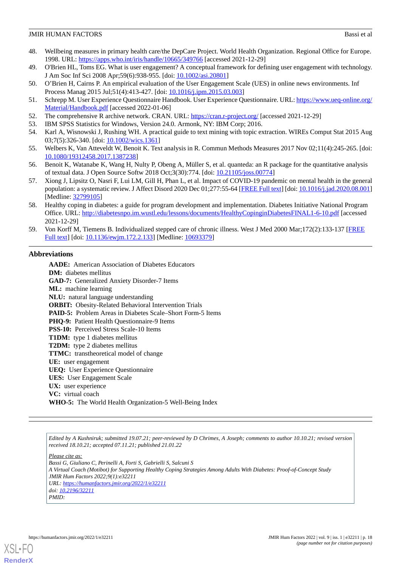- <span id="page-17-0"></span>48. Wellbeing measures in primary health care/the DepCare Project. World Health Organization. Regional Office for Europe. 1998. URL: <https://apps.who.int/iris/handle/10665/349766> [accessed 2021-12-29]
- <span id="page-17-2"></span><span id="page-17-1"></span>49. O'Brien HL, Toms EG. What is user engagement? A conceptual framework for defining user engagement with technology. J Am Soc Inf Sci 2008 Apr;59(6):938-955. [doi: [10.1002/asi.20801](http://dx.doi.org/10.1002/asi.20801)]
- <span id="page-17-3"></span>50. O'Brien H, Cairns P. An empirical evaluation of the User Engagement Scale (UES) in online news environments. Inf Process Manag 2015 Jul;51(4):413-427. [doi: [10.1016/j.ipm.2015.03.003\]](http://dx.doi.org/10.1016/j.ipm.2015.03.003)
- <span id="page-17-4"></span>51. Schrepp M. User Experience Questionnaire Handbook. User Experience Questionnaire. URL: [https://www.ueq-online.org/](https://www.ueq-online.org/Material/Handbook.pdf) [Material/Handbook.pdf](https://www.ueq-online.org/Material/Handbook.pdf) [accessed 2022-01-06]
- <span id="page-17-6"></span><span id="page-17-5"></span>52. The comprehensive R archive network. CRAN. URL: <https://cran.r-project.org/> [accessed 2021-12-29]
- 53. IBM SPSS Statistics for Windows, Version 24.0. Armonk, NY: IBM Corp; 2016.
- <span id="page-17-7"></span>54. Karl A, Wisnowski J, Rushing WH. A practical guide to text mining with topic extraction. WIREs Comput Stat 2015 Aug 03;7(5):326-340. [doi: [10.1002/wics.1361\]](http://dx.doi.org/10.1002/wics.1361)
- <span id="page-17-8"></span>55. Welbers K, Van Atteveldt W, Benoit K. Text analysis in R. Commun Methods Measures 2017 Nov 02;11(4):245-265. [doi: [10.1080/19312458.2017.1387238\]](http://dx.doi.org/10.1080/19312458.2017.1387238)
- <span id="page-17-9"></span>56. Benoit K, Watanabe K, Wang H, Nulty P, Obeng A, Müller S, et al. quanteda: an R package for the quantitative analysis of textual data. J Open Source Softw 2018 Oct;3(30):774. [doi: [10.21105/joss.00774\]](http://dx.doi.org/10.21105/joss.00774)
- <span id="page-17-10"></span>57. Xiong J, Lipsitz O, Nasri F, Lui LM, Gill H, Phan L, et al. Impact of COVID-19 pandemic on mental health in the general population: a systematic review. J Affect Disord 2020 Dec 01;277:55-64 [\[FREE Full text\]](http://europepmc.org/abstract/MED/32799105) [doi: [10.1016/j.jad.2020.08.001](http://dx.doi.org/10.1016/j.jad.2020.08.001)] [Medline: [32799105](http://www.ncbi.nlm.nih.gov/entrez/query.fcgi?cmd=Retrieve&db=PubMed&list_uids=32799105&dopt=Abstract)]
- <span id="page-17-11"></span>58. Healthy coping in diabetes: a guide for program development and implementation. Diabetes Initiative National Program Office. URL: <http://diabetesnpo.im.wustl.edu/lessons/documents/HealthyCopinginDiabetesFINAL1-6-10.pdf> [accessed 2021-12-29]
- 59. Von Korff M, Tiemens B. Individualized stepped care of chronic illness. West J Med 2000 Mar;172(2):133-137 [\[FREE](http://europepmc.org/abstract/MED/10693379) [Full text\]](http://europepmc.org/abstract/MED/10693379) [doi: [10.1136/ewjm.172.2.133\]](http://dx.doi.org/10.1136/ewjm.172.2.133) [Medline: [10693379\]](http://www.ncbi.nlm.nih.gov/entrez/query.fcgi?cmd=Retrieve&db=PubMed&list_uids=10693379&dopt=Abstract)

#### **Abbreviations**

**AADE:** American Association of Diabetes Educators **DM:** diabetes mellitus **GAD-7:** Generalized Anxiety Disorder-7 Items **ML:** machine learning **NLU:** natural language understanding **ORBIT:** Obesity-Related Behavioral Intervention Trials **PAID-5:** Problem Areas in Diabetes Scale–Short Form-5 Items PHQ-9: Patient Health Questionnaire-9 Items **PSS-10:** Perceived Stress Scale-10 Items **T1DM:** type 1 diabetes mellitus **T2DM:** type 2 diabetes mellitus **TTMC:** transtheoretical model of change **UE:** user engagement **UEQ:** User Experience Questionnaire **UES:** User Engagement Scale **UX:** user experience **VC:** virtual coach **WHO-5:** The World Health Organization-5 Well-Being Index

*Edited by A Kushniruk; submitted 19.07.21; peer-reviewed by D Chrimes, A Joseph; comments to author 10.10.21; revised version received 18.10.21; accepted 07.11.21; published 21.01.22*

*Please cite as:*

*Bassi G, Giuliano C, Perinelli A, Forti S, Gabrielli S, Salcuni S A Virtual Coach (Motibot) for Supporting Healthy Coping Strategies Among Adults With Diabetes: Proof-of-Concept Study JMIR Hum Factors 2022;9(1):e32211 URL: <https://humanfactors.jmir.org/2022/1/e32211> doi: [10.2196/32211](http://dx.doi.org/10.2196/32211) PMID:*